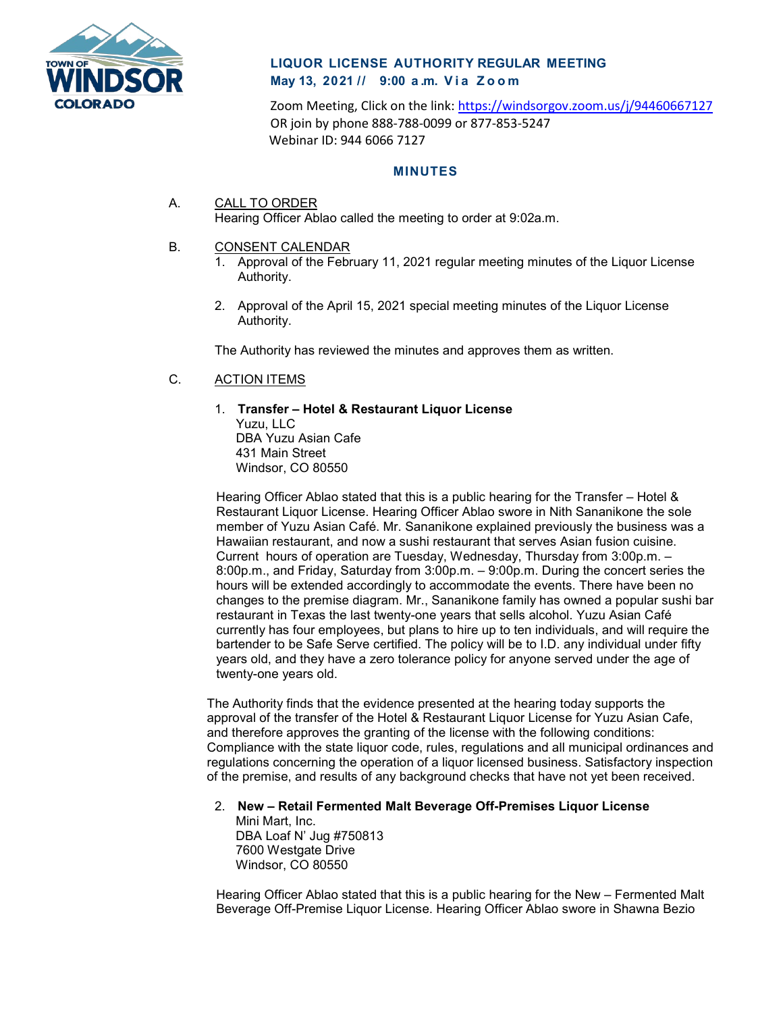

# **LIQUOR LICENSE AUTHORITY REGULAR MEETING May 13, 2021 // 9:00 a . m. Via Zoom**

Zoom Meeting, Click on the link:<https://windsorgov.zoom.us/j/94460667127> OR join by phone 888-788-0099 or 877-853-5247 Webinar ID: 944 6066 7127

### **MINUTES**

## A. CALL TO ORDER

Hearing Officer Ablao called the meeting to order at 9:02a.m.

### B. CONSENT CALENDAR

- 1. Approval of the February 11, 2021 regular meeting minutes of the Liquor License Authority.
- 2. Approval of the April 15, 2021 special meeting minutes of the Liquor License Authority.

The Authority has reviewed the minutes and approves them as written.

## C. ACTION ITEMS

## 1. **Transfer – Hotel & Restaurant Liquor License** Yuzu, LLC DBA Yuzu Asian Cafe

431 Main Street Windsor, CO 80550

Hearing Officer Ablao stated that this is a public hearing for the Transfer – Hotel & Restaurant Liquor License. Hearing Officer Ablao swore in Nith Sananikone the sole member of Yuzu Asian Café. Mr. Sananikone explained previously the business was a Hawaiian restaurant, and now a sushi restaurant that serves Asian fusion cuisine. Current hours of operation are Tuesday, Wednesday, Thursday from 3:00p.m. – 8:00p.m., and Friday, Saturday from 3:00p.m. – 9:00p.m. During the concert series the hours will be extended accordingly to accommodate the events. There have been no changes to the premise diagram. Mr., Sananikone family has owned a popular sushi bar restaurant in Texas the last twenty-one years that sells alcohol. Yuzu Asian Café currently has four employees, but plans to hire up to ten individuals, and will require the bartender to be Safe Serve certified. The policy will be to I.D. any individual under fifty years old, and they have a zero tolerance policy for anyone served under the age of twenty-one years old.

The Authority finds that the evidence presented at the hearing today supports the approval of the transfer of the Hotel & Restaurant Liquor License for Yuzu Asian Cafe, and therefore approves the granting of the license with the following conditions: Compliance with the state liquor code, rules, regulations and all municipal ordinances and regulations concerning the operation of a liquor licensed business. Satisfactory inspection of the premise, and results of any background checks that have not yet been received.

#### 2. **New – Retail Fermented Malt Beverage Off-Premises Liquor License** Mini Mart, Inc. DBA Loaf N' Jug #750813

7600 Westgate Drive Windsor, CO 80550

Hearing Officer Ablao stated that this is a public hearing for the New – Fermented Malt Beverage Off-Premise Liquor License. Hearing Officer Ablao swore in Shawna Bezio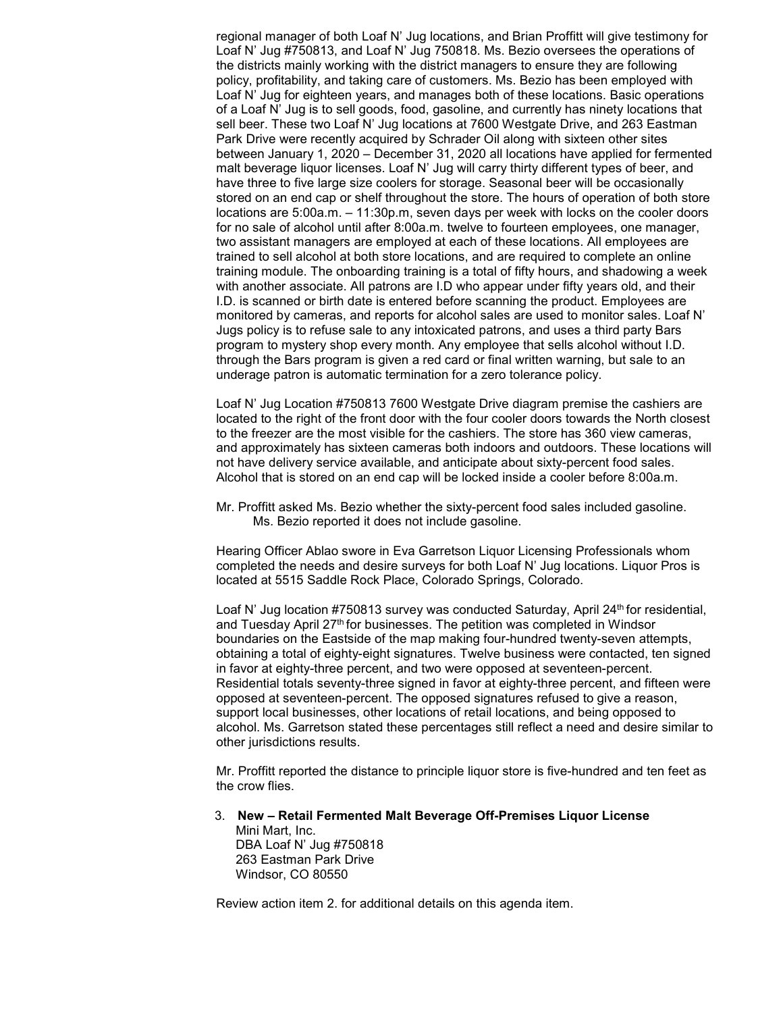regional manager of both Loaf N' Jug locations, and Brian Proffitt will give testimony for Loaf N' Jug #750813, and Loaf N' Jug 750818. Ms. Bezio oversees the operations of the districts mainly working with the district managers to ensure they are following policy, profitability, and taking care of customers. Ms. Bezio has been employed with Loaf N' Jug for eighteen years, and manages both of these locations. Basic operations of a Loaf N' Jug is to sell goods, food, gasoline, and currently has ninety locations that sell beer. These two Loaf N' Jug locations at 7600 Westgate Drive, and 263 Eastman Park Drive were recently acquired by Schrader Oil along with sixteen other sites between January 1, 2020 – December 31, 2020 all locations have applied for fermented malt beverage liquor licenses. Loaf N' Jug will carry thirty different types of beer, and have three to five large size coolers for storage. Seasonal beer will be occasionally stored on an end cap or shelf throughout the store. The hours of operation of both store locations are 5:00a.m. – 11:30p.m, seven days per week with locks on the cooler doors for no sale of alcohol until after 8:00a.m. twelve to fourteen employees, one manager, two assistant managers are employed at each of these locations. All employees are trained to sell alcohol at both store locations, and are required to complete an online training module. The onboarding training is a total of fifty hours, and shadowing a week with another associate. All patrons are I.D who appear under fifty years old, and their I.D. is scanned or birth date is entered before scanning the product. Employees are monitored by cameras, and reports for alcohol sales are used to monitor sales. Loaf N' Jugs policy is to refuse sale to any intoxicated patrons, and uses a third party Bars program to mystery shop every month. Any employee that sells alcohol without I.D. through the Bars program is given a red card or final written warning, but sale to an underage patron is automatic termination for a zero tolerance policy.

Loaf N' Jug Location #750813 7600 Westgate Drive diagram premise the cashiers are located to the right of the front door with the four cooler doors towards the North closest to the freezer are the most visible for the cashiers. The store has 360 view cameras, and approximately has sixteen cameras both indoors and outdoors. These locations will not have delivery service available, and anticipate about sixty-percent food sales. Alcohol that is stored on an end cap will be locked inside a cooler before 8:00a.m.

Mr. Proffitt asked Ms. Bezio whether the sixty-percent food sales included gasoline. Ms. Bezio reported it does not include gasoline.

Hearing Officer Ablao swore in Eva Garretson Liquor Licensing Professionals whom completed the needs and desire surveys for both Loaf N' Jug locations. Liquor Pros is located at 5515 Saddle Rock Place, Colorado Springs, Colorado.

Loaf N' Jug location #750813 survey was conducted Saturday, April 24<sup>th</sup> for residential, and Tuesday April 27<sup>th</sup> for businesses. The petition was completed in Windsor boundaries on the Eastside of the map making four-hundred twenty-seven attempts, obtaining a total of eighty-eight signatures. Twelve business were contacted, ten signed in favor at eighty-three percent, and two were opposed at seventeen-percent. Residential totals seventy-three signed in favor at eighty-three percent, and fifteen were opposed at seventeen-percent. The opposed signatures refused to give a reason, support local businesses, other locations of retail locations, and being opposed to alcohol. Ms. Garretson stated these percentages still reflect a need and desire similar to other jurisdictions results.

Mr. Proffitt reported the distance to principle liquor store is five-hundred and ten feet as the crow flies.

#### 3. **New – Retail Fermented Malt Beverage Off-Premises Liquor License**

Mini Mart, Inc. DBA Loaf N' Jug #750818 263 Eastman Park Drive Windsor, CO 80550

Review action item 2. for additional details on this agenda item.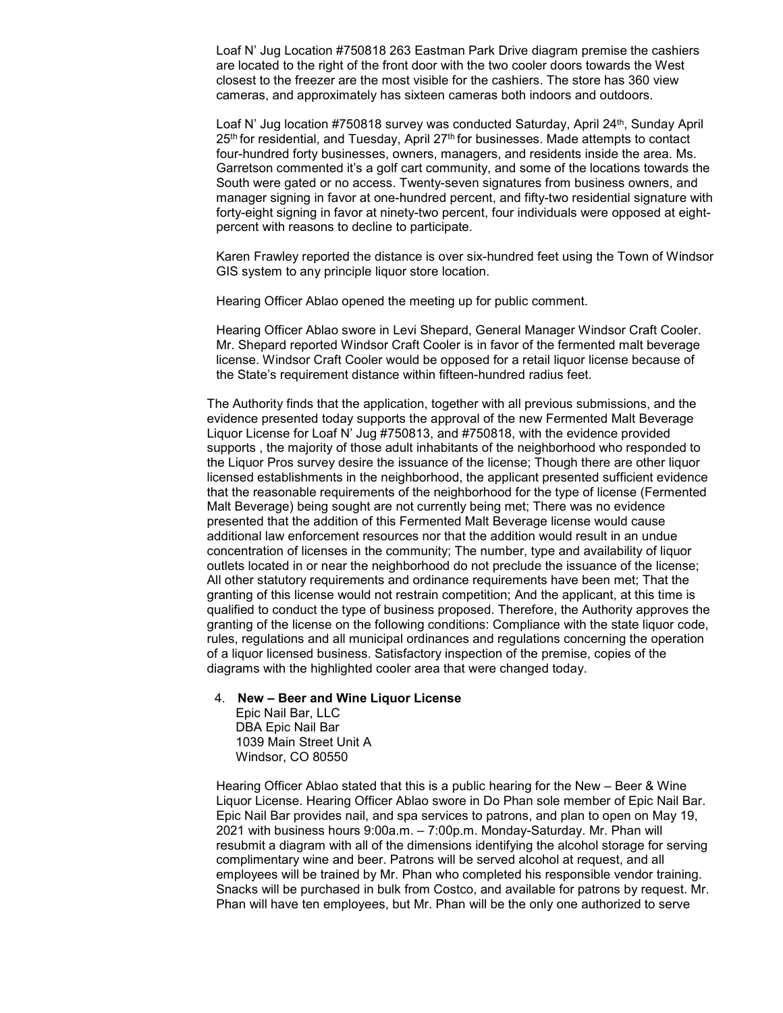Loaf N' Jug Location #750818 263 Eastman Park Drive diagram premise the cashiers are located to the right of the front door with the two cooler doors towards the West closest to the freezer are the most visible for the cashiers. The store has 360 view cameras, and approximately has sixteen cameras both indoors and outdoors.

Loaf N' Jug location #750818 survey was conducted Saturday, April 24<sup>th</sup>, Sunday April  $25<sup>th</sup>$  for residential, and Tuesday, April  $27<sup>th</sup>$  for businesses. Made attempts to contact four-hundred forty businesses, owners, managers, and residents inside the area. Ms. Garretson commented it's a golf cart community, and some of the locations towards the South were gated or no access. Twenty-seven signatures from business owners, and manager signing in favor at one-hundred percent, and fifty-two residential signature with forty-eight signing in favor at ninety-two percent, four individuals were opposed at eightpercent with reasons to decline to participate.

Karen Frawley reported the distance is over six-hundred feet using the Town of Windsor GIS system to any principle liquor store location.

Hearing Officer Ablao opened the meeting up for public comment.

Hearing Officer Ablao swore in Levi Shepard, General Manager Windsor Craft Cooler. Mr. Shepard reported Windsor Craft Cooler is in favor of the fermented malt beverage license. Windsor Craft Cooler would be opposed for a retail liquor license because of the State's requirement distance within fifteen-hundred radius feet.

The Authority finds that the application, together with all previous submissions, and the evidence presented today supports the approval of the new Fermented Malt Beverage Liquor License for Loaf N' Jug #750813, and #750818, with the evidence provided supports , the majority of those adult inhabitants of the neighborhood who responded to the Liquor Pros survey desire the issuance of the license; Though there are other liquor licensed establishments in the neighborhood, the applicant presented sufficient evidence that the reasonable requirements of the neighborhood for the type of license (Fermented Malt Beverage) being sought are not currently being met; There was no evidence presented that the addition of this Fermented Malt Beverage license would cause additional law enforcement resources nor that the addition would result in an undue concentration of licenses in the community; The number, type and availability of liquor outlets located in or near the neighborhood do not preclude the issuance of the license; All other statutory requirements and ordinance requirements have been met; That the granting of this license would not restrain competition; And the applicant, at this time is qualified to conduct the type of business proposed. Therefore, the Authority approves the granting of the license on the following conditions: Compliance with the state liquor code, rules, regulations and all municipal ordinances and regulations concerning the operation of a liquor licensed business. Satisfactory inspection of the premise, copies of the diagrams with the highlighted cooler area that were changed today.

4. **New – Beer and Wine Liquor License**

Epic Nail Bar, LLC DBA Epic Nail Bar 1039 Main Street Unit A Windsor, CO 80550

Hearing Officer Ablao stated that this is a public hearing for the New – Beer & Wine Liquor License. Hearing Officer Ablao swore in Do Phan sole member of Epic Nail Bar. Epic Nail Bar provides nail, and spa services to patrons, and plan to open on May 19, 2021 with business hours 9:00a.m. – 7:00p.m. Monday-Saturday. Mr. Phan will resubmit a diagram with all of the dimensions identifying the alcohol storage for serving complimentary wine and beer. Patrons will be served alcohol at request, and all employees will be trained by Mr. Phan who completed his responsible vendor training. Snacks will be purchased in bulk from Costco, and available for patrons by request. Mr. Phan will have ten employees, but Mr. Phan will be the only one authorized to serve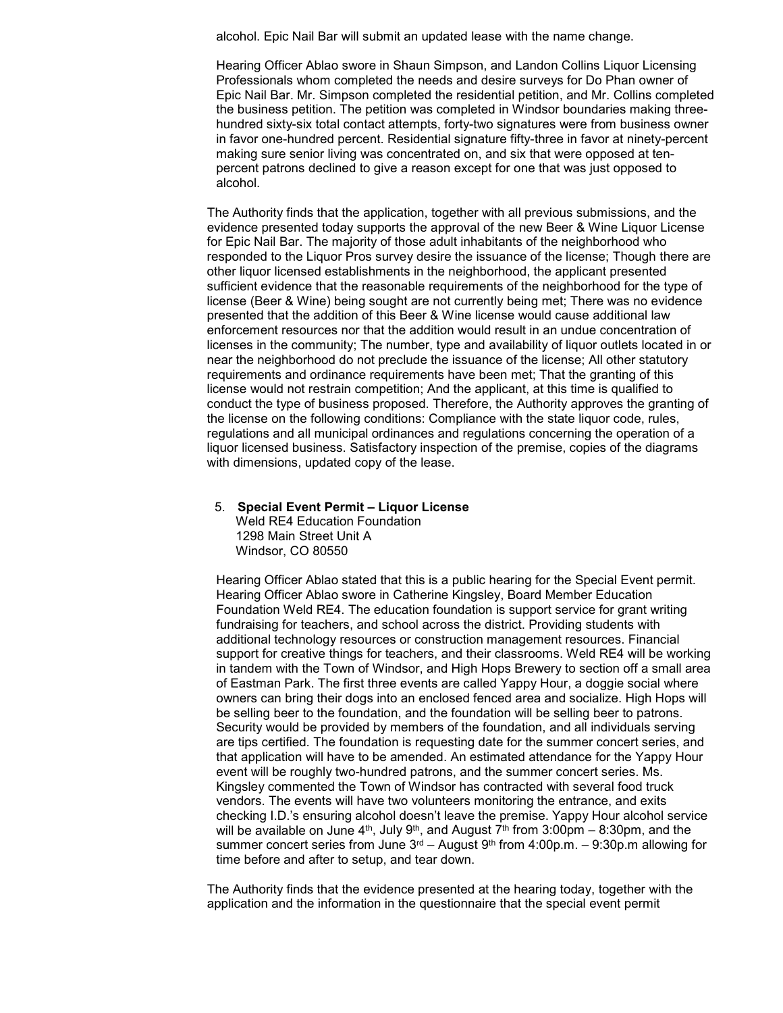alcohol. Epic Nail Bar will submit an updated lease with the name change.

Hearing Officer Ablao swore in Shaun Simpson, and Landon Collins Liquor Licensing Professionals whom completed the needs and desire surveys for Do Phan owner of Epic Nail Bar. Mr. Simpson completed the residential petition, and Mr. Collins completed the business petition. The petition was completed in Windsor boundaries making threehundred sixty-six total contact attempts, forty-two signatures were from business owner in favor one-hundred percent. Residential signature fifty-three in favor at ninety-percent making sure senior living was concentrated on, and six that were opposed at tenpercent patrons declined to give a reason except for one that was just opposed to alcohol.

The Authority finds that the application, together with all previous submissions, and the evidence presented today supports the approval of the new Beer & Wine Liquor License for Epic Nail Bar. The majority of those adult inhabitants of the neighborhood who responded to the Liquor Pros survey desire the issuance of the license; Though there are other liquor licensed establishments in the neighborhood, the applicant presented sufficient evidence that the reasonable requirements of the neighborhood for the type of license (Beer & Wine) being sought are not currently being met; There was no evidence presented that the addition of this Beer & Wine license would cause additional law enforcement resources nor that the addition would result in an undue concentration of licenses in the community; The number, type and availability of liquor outlets located in or near the neighborhood do not preclude the issuance of the license; All other statutory requirements and ordinance requirements have been met; That the granting of this license would not restrain competition; And the applicant, at this time is qualified to conduct the type of business proposed. Therefore, the Authority approves the granting of the license on the following conditions: Compliance with the state liquor code, rules, regulations and all municipal ordinances and regulations concerning the operation of a liquor licensed business. Satisfactory inspection of the premise, copies of the diagrams with dimensions, updated copy of the lease.

5. **Special Event Permit – Liquor License**  Weld RE4 Education Foundation 1298 Main Street Unit A Windsor, CO 80550

Hearing Officer Ablao stated that this is a public hearing for the Special Event permit. Hearing Officer Ablao swore in Catherine Kingsley, Board Member Education Foundation Weld RE4. The education foundation is support service for grant writing fundraising for teachers, and school across the district. Providing students with additional technology resources or construction management resources. Financial support for creative things for teachers, and their classrooms. Weld RE4 will be working in tandem with the Town of Windsor, and High Hops Brewery to section off a small area of Eastman Park. The first three events are called Yappy Hour, a doggie social where owners can bring their dogs into an enclosed fenced area and socialize. High Hops will be selling beer to the foundation, and the foundation will be selling beer to patrons. Security would be provided by members of the foundation, and all individuals serving are tips certified. The foundation is requesting date for the summer concert series, and that application will have to be amended. An estimated attendance for the Yappy Hour event will be roughly two-hundred patrons, and the summer concert series. Ms. Kingsley commented the Town of Windsor has contracted with several food truck vendors. The events will have two volunteers monitoring the entrance, and exits checking I.D.'s ensuring alcohol doesn't leave the premise. Yappy Hour alcohol service will be available on June  $4<sup>th</sup>$ , July 9<sup>th</sup>, and August 7<sup>th</sup> from 3:00pm – 8:30pm, and the summer concert series from June  $3<sup>rd</sup>$  – August 9<sup>th</sup> from 4:00p.m. – 9:30p.m allowing for time before and after to setup, and tear down.

The Authority finds that the evidence presented at the hearing today, together with the application and the information in the questionnaire that the special event permit